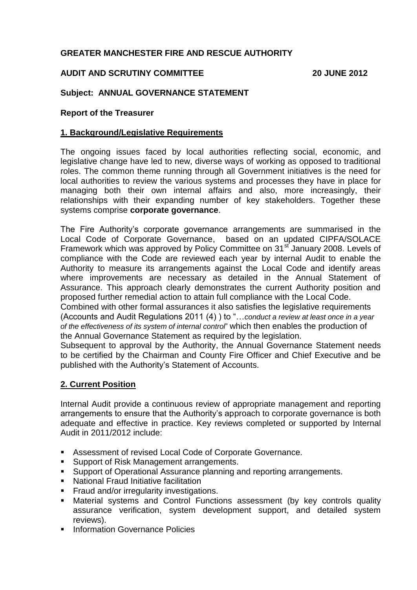# **GREATER MANCHESTER FIRE AND RESCUE AUTHORITY**

# **AUDIT AND SCRUTINY COMMITTEE 20 JUNE 2012**

# **Subject: ANNUAL GOVERNANCE STATEMENT**

#### **Report of the Treasurer**

#### **1. Background/Legislative Requirements**

The ongoing issues faced by local authorities reflecting social, economic, and legislative change have led to new, diverse ways of working as opposed to traditional roles. The common theme running through all Government initiatives is the need for local authorities to review the various systems and processes they have in place for managing both their own internal affairs and also, more increasingly, their relationships with their expanding number of key stakeholders. Together these systems comprise **corporate governance**.

The Fire Authority"s corporate governance arrangements are summarised in the Local Code of Corporate Governance, based on an updated CIPFA/SOLACE Framework which was approved by Policy Committee on 31<sup>st</sup> January 2008. Levels of compliance with the Code are reviewed each year by internal Audit to enable the Authority to measure its arrangements against the Local Code and identify areas where improvements are necessary as detailed in the Annual Statement of Assurance. This approach clearly demonstrates the current Authority position and proposed further remedial action to attain full compliance with the Local Code.

Combined with other formal assurances it also satisfies the legislative requirements (Accounts and Audit Regulations 2011 (4) ) to "…*conduct a review at least once in a year of the effectiveness of its system of internal control*" which then enables the production of the Annual Governance Statement as required by the legislation.

Subsequent to approval by the Authority, the Annual Governance Statement needs to be certified by the Chairman and County Fire Officer and Chief Executive and be published with the Authority"s Statement of Accounts.

### **2. Current Position**

Internal Audit provide a continuous review of appropriate management and reporting arrangements to ensure that the Authority"s approach to corporate governance is both adequate and effective in practice. Key reviews completed or supported by Internal Audit in 2011/2012 include:

- Assessment of revised Local Code of Corporate Governance.
- **Support of Risk Management arrangements.**
- Support of Operational Assurance planning and reporting arrangements.
- National Fraud Initiative facilitation
- Fraud and/or irregularity investigations.
- Material systems and Control Functions assessment (by key controls quality assurance verification, system development support, and detailed system reviews).
- **Information Governance Policies**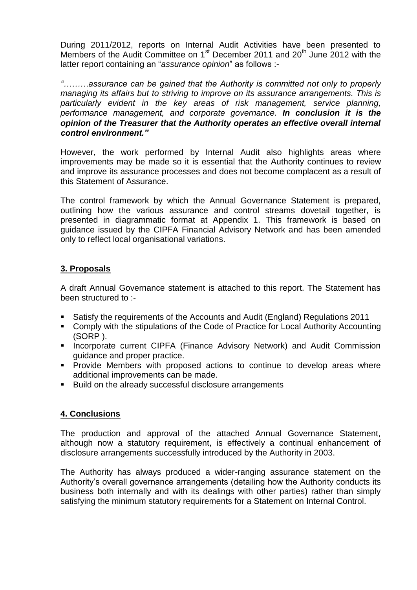During 2011/2012, reports on Internal Audit Activities have been presented to Members of the Audit Committee on  $1<sup>st</sup>$  December 2011 and 20<sup>th</sup> June 2012 with the latter report containing an "*assurance opinion*" as follows :-

*"………assurance can be gained that the Authority is committed not only to properly managing its affairs but to striving to improve on its assurance arrangements. This is particularly evident in the key areas of risk management, service planning, performance management, and corporate governance. In conclusion it is the opinion of the Treasurer that the Authority operates an effective overall internal control environment."*

However, the work performed by Internal Audit also highlights areas where improvements may be made so it is essential that the Authority continues to review and improve its assurance processes and does not become complacent as a result of this Statement of Assurance.

The control framework by which the Annual Governance Statement is prepared, outlining how the various assurance and control streams dovetail together, is presented in diagrammatic format at Appendix 1. This framework is based on guidance issued by the CIPFA Financial Advisory Network and has been amended only to reflect local organisational variations.

# **3. Proposals**

A draft Annual Governance statement is attached to this report. The Statement has been structured to :-

- Satisfy the requirements of the Accounts and Audit (England) Regulations 2011
- Comply with the stipulations of the Code of Practice for Local Authority Accounting (SORP ).
- **Incorporate current CIPFA (Finance Advisory Network) and Audit Commission** guidance and proper practice.
- **Provide Members with proposed actions to continue to develop areas where** additional improvements can be made.
- **Build on the already successful disclosure arrangements**

### **4. Conclusions**

The production and approval of the attached Annual Governance Statement, although now a statutory requirement, is effectively a continual enhancement of disclosure arrangements successfully introduced by the Authority in 2003.

The Authority has always produced a wider-ranging assurance statement on the Authority"s overall governance arrangements (detailing how the Authority conducts its business both internally and with its dealings with other parties) rather than simply satisfying the minimum statutory requirements for a Statement on Internal Control.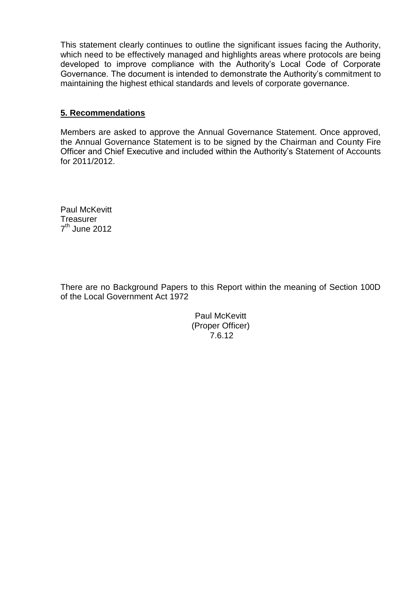This statement clearly continues to outline the significant issues facing the Authority, which need to be effectively managed and highlights areas where protocols are being developed to improve compliance with the Authority"s Local Code of Corporate Governance. The document is intended to demonstrate the Authority"s commitment to maintaining the highest ethical standards and levels of corporate governance.

# **5. Recommendations**

Members are asked to approve the Annual Governance Statement. Once approved, the Annual Governance Statement is to be signed by the Chairman and County Fire Officer and Chief Executive and included within the Authority"s Statement of Accounts for 2011/2012.

Paul McKevitt **Treasurer** 7<sup>th</sup> June 2012

There are no Background Papers to this Report within the meaning of Section 100D of the Local Government Act 1972

> Paul McKevitt (Proper Officer) 7.6.12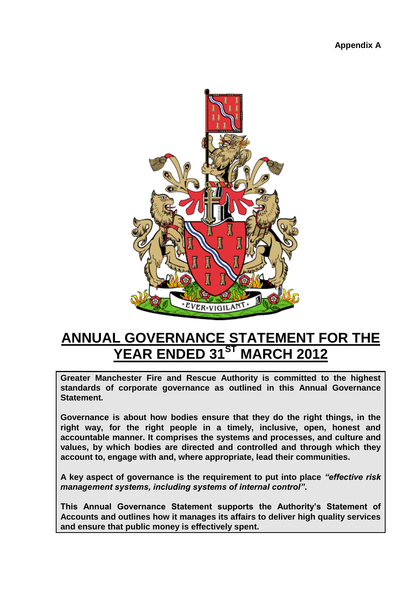

# **ANNUAL GOVERNANCE STATEMENT FOR THE YEAR ENDED 31ST**

**Greater Manchester Fire and Rescue Authority is committed to the highest standards of corporate governance as outlined in this Annual Governance Statement***.*

**Governance is about how bodies ensure that they do the right things, in the right way, for the right people in a timely, inclusive, open, honest and accountable manner. It comprises the systems and processes, and culture and values, by which bodies are directed and controlled and through which they account to, engage with and, where appropriate, lead their communities.**

**A key aspect of governance is the requirement to put into place** *"effective risk management systems, including systems of internal control"***.**

**This Annual Governance Statement supports the Authority's Statement of Accounts and outlines how it manages its affairs to deliver high quality services and ensure that public money is effectively spent.**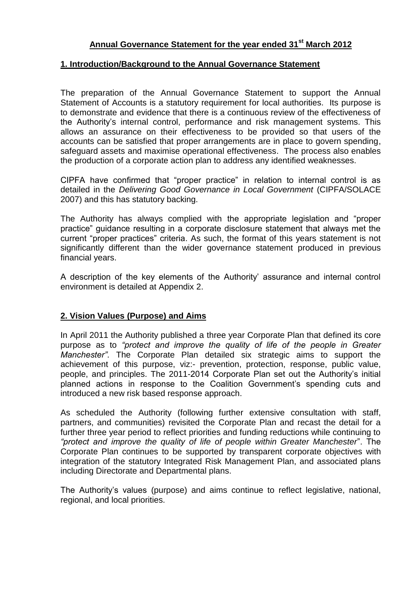# **Annual Governance Statement for the year ended 31st March 2012**

# **1. Introduction/Background to the Annual Governance Statement**

The preparation of the Annual Governance Statement to support the Annual Statement of Accounts is a statutory requirement for local authorities. Its purpose is to demonstrate and evidence that there is a continuous review of the effectiveness of the Authority"s internal control, performance and risk management systems. This allows an assurance on their effectiveness to be provided so that users of the accounts can be satisfied that proper arrangements are in place to govern spending, safeguard assets and maximise operational effectiveness. The process also enables the production of a corporate action plan to address any identified weaknesses.

CIPFA have confirmed that "proper practice" in relation to internal control is as detailed in the *Delivering Good Governance in Local Government* (CIPFA/SOLACE 2007) and this has statutory backing.

The Authority has always complied with the appropriate legislation and "proper practice" guidance resulting in a corporate disclosure statement that always met the current "proper practices" criteria. As such, the format of this years statement is not significantly different than the wider governance statement produced in previous financial years.

A description of the key elements of the Authority" assurance and internal control environment is detailed at Appendix 2.

### **2. Vision Values (Purpose) and Aims**

In April 2011 the Authority published a three year Corporate Plan that defined its core purpose as to *"protect and improve the quality of life of the people in Greater Manchester"*. The Corporate Plan detailed six strategic aims to support the achievement of this purpose, viz:- prevention, protection, response, public value, people, and principles. The 2011-2014 Corporate Plan set out the Authority"s initial planned actions in response to the Coalition Government"s spending cuts and introduced a new risk based response approach.

As scheduled the Authority (following further extensive consultation with staff, partners, and communities) revisited the Corporate Plan and recast the detail for a further three year period to reflect priorities and funding reductions while continuing to *"protect and improve the quality of life of people within Greater Manchester*". The Corporate Plan continues to be supported by transparent corporate objectives with integration of the statutory Integrated Risk Management Plan, and associated plans including Directorate and Departmental plans.

The Authority"s values (purpose) and aims continue to reflect legislative, national, regional, and local priorities.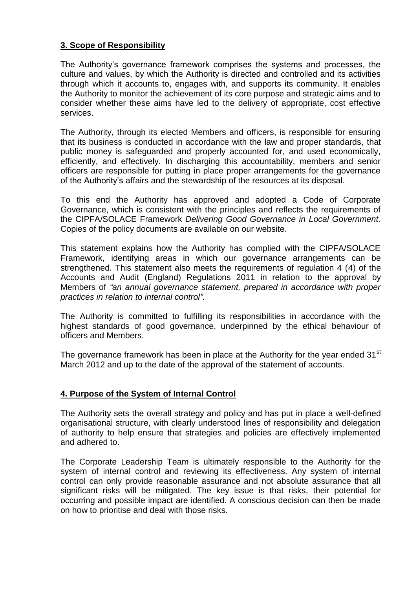# **3. Scope of Responsibility**

The Authority"s governance framework comprises the systems and processes, the culture and values, by which the Authority is directed and controlled and its activities through which it accounts to, engages with, and supports its community. It enables the Authority to monitor the achievement of its core purpose and strategic aims and to consider whether these aims have led to the delivery of appropriate, cost effective services.

The Authority, through its elected Members and officers, is responsible for ensuring that its business is conducted in accordance with the law and proper standards, that public money is safeguarded and properly accounted for, and used economically, efficiently, and effectively. In discharging this accountability, members and senior officers are responsible for putting in place proper arrangements for the governance of the Authority"s affairs and the stewardship of the resources at its disposal.

To this end the Authority has approved and adopted a Code of Corporate Governance, which is consistent with the principles and reflects the requirements of the CIPFA/SOLACE Framework *Delivering Good Governance in Local Government*. Copies of the policy documents are available on our website.

This statement explains how the Authority has complied with the CIPFA/SOLACE Framework, identifying areas in which our governance arrangements can be strengthened. This statement also meets the requirements of regulation 4 (4) of the Accounts and Audit (England) Regulations 2011 in relation to the approval by Members of *"an annual governance statement, prepared in accordance with proper practices in relation to internal control".*

The Authority is committed to fulfilling its responsibilities in accordance with the highest standards of good governance, underpinned by the ethical behaviour of officers and Members.

The governance framework has been in place at the Authority for the year ended 31<sup>st</sup> March 2012 and up to the date of the approval of the statement of accounts.

### **4. Purpose of the System of Internal Control**

The Authority sets the overall strategy and policy and has put in place a well-defined organisational structure, with clearly understood lines of responsibility and delegation of authority to help ensure that strategies and policies are effectively implemented and adhered to.

The Corporate Leadership Team is ultimately responsible to the Authority for the system of internal control and reviewing its effectiveness. Any system of internal control can only provide reasonable assurance and not absolute assurance that all significant risks will be mitigated. The key issue is that risks, their potential for occurring and possible impact are identified. A conscious decision can then be made on how to prioritise and deal with those risks.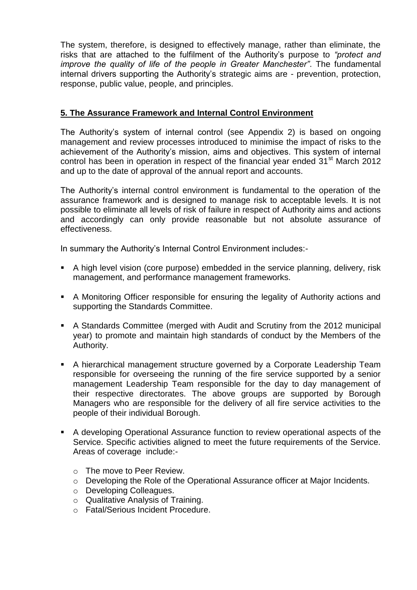The system, therefore, is designed to effectively manage, rather than eliminate, the risks that are attached to the fulfilment of the Authority"s purpose to *"protect and improve the quality of life of the people in Greater Manchester"*. The fundamental internal drivers supporting the Authority"s strategic aims are - prevention, protection, response, public value, people, and principles.

# **5. The Assurance Framework and Internal Control Environment**

The Authority's system of internal control (see Appendix 2) is based on ongoing management and review processes introduced to minimise the impact of risks to the achievement of the Authority"s mission, aims and objectives. This system of internal control has been in operation in respect of the financial year ended  $31<sup>st</sup>$  March 2012 and up to the date of approval of the annual report and accounts.

The Authority"s internal control environment is fundamental to the operation of the assurance framework and is designed to manage risk to acceptable levels. It is not possible to eliminate all levels of risk of failure in respect of Authority aims and actions and accordingly can only provide reasonable but not absolute assurance of effectiveness.

In summary the Authority's Internal Control Environment includes:-

- A high level vision (core purpose) embedded in the service planning, delivery, risk management, and performance management frameworks.
- A Monitoring Officer responsible for ensuring the legality of Authority actions and supporting the Standards Committee.
- A Standards Committee (merged with Audit and Scrutiny from the 2012 municipal year) to promote and maintain high standards of conduct by the Members of the Authority.
- A hierarchical management structure governed by a Corporate Leadership Team responsible for overseeing the running of the fire service supported by a senior management Leadership Team responsible for the day to day management of their respective directorates. The above groups are supported by Borough Managers who are responsible for the delivery of all fire service activities to the people of their individual Borough.
- A developing Operational Assurance function to review operational aspects of the Service. Specific activities aligned to meet the future requirements of the Service. Areas of coverage include:
	- o The move to Peer Review.
	- o Developing the Role of the Operational Assurance officer at Major Incidents.
	- o Developing Colleagues.
	- o Qualitative Analysis of Training.
	- o Fatal/Serious Incident Procedure.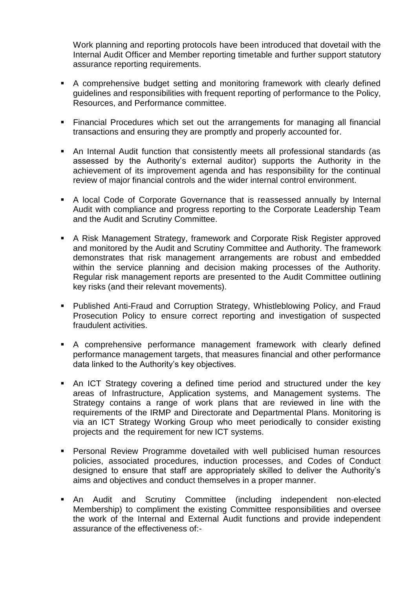Work planning and reporting protocols have been introduced that dovetail with the Internal Audit Officer and Member reporting timetable and further support statutory assurance reporting requirements.

- A comprehensive budget setting and monitoring framework with clearly defined guidelines and responsibilities with frequent reporting of performance to the Policy, Resources, and Performance committee.
- Financial Procedures which set out the arrangements for managing all financial transactions and ensuring they are promptly and properly accounted for.
- An Internal Audit function that consistently meets all professional standards (as assessed by the Authority"s external auditor) supports the Authority in the achievement of its improvement agenda and has responsibility for the continual review of major financial controls and the wider internal control environment.
- A local Code of Corporate Governance that is reassessed annually by Internal Audit with compliance and progress reporting to the Corporate Leadership Team and the Audit and Scrutiny Committee.
- A Risk Management Strategy, framework and Corporate Risk Register approved and monitored by the Audit and Scrutiny Committee and Authority. The framework demonstrates that risk management arrangements are robust and embedded within the service planning and decision making processes of the Authority. Regular risk management reports are presented to the Audit Committee outlining key risks (and their relevant movements).
- Published Anti-Fraud and Corruption Strategy, Whistleblowing Policy, and Fraud Prosecution Policy to ensure correct reporting and investigation of suspected fraudulent activities.
- A comprehensive performance management framework with clearly defined performance management targets, that measures financial and other performance data linked to the Authority"s key objectives.
- An ICT Strategy covering a defined time period and structured under the key areas of Infrastructure, Application systems, and Management systems. The Strategy contains a range of work plans that are reviewed in line with the requirements of the IRMP and Directorate and Departmental Plans. Monitoring is via an ICT Strategy Working Group who meet periodically to consider existing projects and the requirement for new ICT systems.
- Personal Review Programme dovetailed with well publicised human resources policies, associated procedures, induction processes, and Codes of Conduct designed to ensure that staff are appropriately skilled to deliver the Authority"s aims and objectives and conduct themselves in a proper manner.
- An Audit and Scrutiny Committee (including independent non-elected Membership) to compliment the existing Committee responsibilities and oversee the work of the Internal and External Audit functions and provide independent assurance of the effectiveness of:-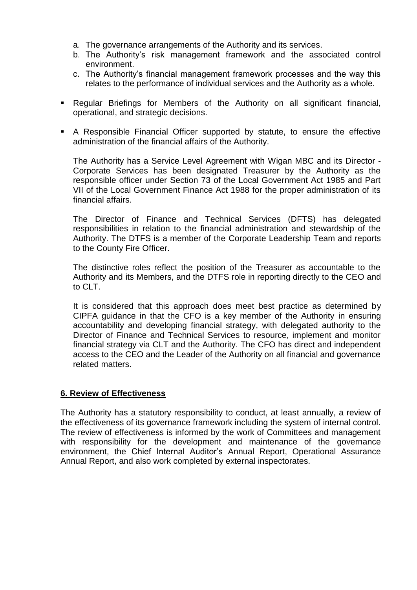- a. The governance arrangements of the Authority and its services.
- b. The Authority"s risk management framework and the associated control environment.
- c. The Authority"s financial management framework processes and the way this relates to the performance of individual services and the Authority as a whole.
- Regular Briefings for Members of the Authority on all significant financial, operational, and strategic decisions.
- A Responsible Financial Officer supported by statute, to ensure the effective administration of the financial affairs of the Authority.

The Authority has a Service Level Agreement with Wigan MBC and its Director - Corporate Services has been designated Treasurer by the Authority as the responsible officer under Section 73 of the Local Government Act 1985 and Part VII of the Local Government Finance Act 1988 for the proper administration of its financial affairs.

The Director of Finance and Technical Services (DFTS) has delegated responsibilities in relation to the financial administration and stewardship of the Authority. The DTFS is a member of the Corporate Leadership Team and reports to the County Fire Officer.

The distinctive roles reflect the position of the Treasurer as accountable to the Authority and its Members, and the DTFS role in reporting directly to the CEO and to CLT.

It is considered that this approach does meet best practice as determined by CIPFA guidance in that the CFO is a key member of the Authority in ensuring accountability and developing financial strategy, with delegated authority to the Director of Finance and Technical Services to resource, implement and monitor financial strategy via CLT and the Authority. The CFO has direct and independent access to the CEO and the Leader of the Authority on all financial and governance related matters.

# **6. Review of Effectiveness**

The Authority has a statutory responsibility to conduct, at least annually, a review of the effectiveness of its governance framework including the system of internal control. The review of effectiveness is informed by the work of Committees and management with responsibility for the development and maintenance of the governance environment, the Chief Internal Auditor's Annual Report, Operational Assurance Annual Report, and also work completed by external inspectorates.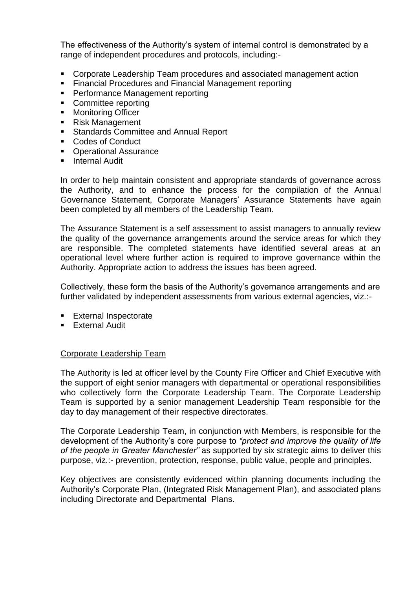The effectiveness of the Authority's system of internal control is demonstrated by a range of independent procedures and protocols, including:-

- Corporate Leadership Team procedures and associated management action
- Financial Procedures and Financial Management reporting
- **Performance Management reporting**
- Committee reporting
- **Monitoring Officer**
- Risk Management
- **Standards Committee and Annual Report**
- Codes of Conduct
- **Operational Assurance**
- **Internal Audit**

In order to help maintain consistent and appropriate standards of governance across the Authority, and to enhance the process for the compilation of the Annual Governance Statement, Corporate Managers" Assurance Statements have again been completed by all members of the Leadership Team.

The Assurance Statement is a self assessment to assist managers to annually review the quality of the governance arrangements around the service areas for which they are responsible. The completed statements have identified several areas at an operational level where further action is required to improve governance within the Authority. Appropriate action to address the issues has been agreed.

Collectively, these form the basis of the Authority"s governance arrangements and are further validated by independent assessments from various external agencies, viz.:-

- **External Inspectorate**
- External Audit

### Corporate Leadership Team

The Authority is led at officer level by the County Fire Officer and Chief Executive with the support of eight senior managers with departmental or operational responsibilities who collectively form the Corporate Leadership Team. The Corporate Leadership Team is supported by a senior management Leadership Team responsible for the day to day management of their respective directorates.

The Corporate Leadership Team, in conjunction with Members, is responsible for the development of the Authority"s core purpose to *"protect and improve the quality of life of the people in Greater Manchester"* as supported by six strategic aims to deliver this purpose, viz.:- prevention, protection, response, public value, people and principles.

Key objectives are consistently evidenced within planning documents including the Authority"s Corporate Plan, (Integrated Risk Management Plan), and associated plans including Directorate and Departmental Plans.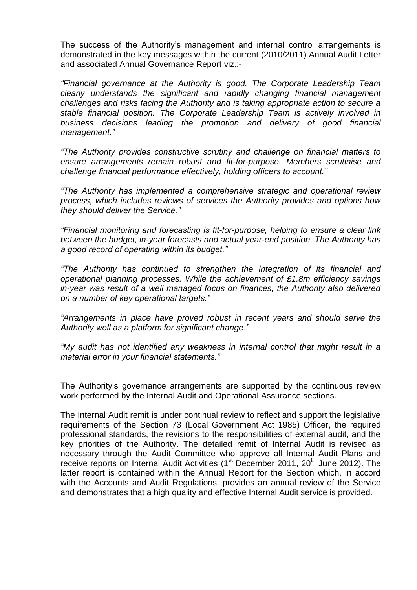The success of the Authority"s management and internal control arrangements is demonstrated in the key messages within the current (2010/2011) Annual Audit Letter and associated Annual Governance Report viz.:-

*"Financial governance at the Authority is good. The Corporate Leadership Team clearly understands the significant and rapidly changing financial management challenges and risks facing the Authority and is taking appropriate action to secure a stable financial position. The Corporate Leadership Team is actively involved in business decisions leading the promotion and delivery of good financial management."*

*"The Authority provides constructive scrutiny and challenge on financial matters to ensure arrangements remain robust and fit-for-purpose. Members scrutinise and challenge financial performance effectively, holding officers to account."*

*"The Authority has implemented a comprehensive strategic and operational review process, which includes reviews of services the Authority provides and options how they should deliver the Service."*

*"Financial monitoring and forecasting is fit-for-purpose, helping to ensure a clear link between the budget, in-year forecasts and actual year-end position. The Authority has a good record of operating within its budget."*

*"The Authority has continued to strengthen the integration of its financial and operational planning processes. While the achievement of £1.8m efficiency savings in-year was result of a well managed focus on finances, the Authority also delivered on a number of key operational targets."*

*"Arrangements in place have proved robust in recent years and should serve the Authority well as a platform for significant change."*

*"My audit has not identified any weakness in internal control that might result in a material error in your financial statements."*

The Authority's governance arrangements are supported by the continuous review work performed by the Internal Audit and Operational Assurance sections.

The Internal Audit remit is under continual review to reflect and support the legislative requirements of the Section 73 (Local Government Act 1985) Officer, the required professional standards, the revisions to the responsibilities of external audit, and the key priorities of the Authority. The detailed remit of Internal Audit is revised as necessary through the Audit Committee who approve all Internal Audit Plans and receive reports on Internal Audit Activities (1<sup>st</sup> December 2011, 20<sup>th</sup> June 2012). The latter report is contained within the Annual Report for the Section which, in accord with the Accounts and Audit Regulations, provides an annual review of the Service and demonstrates that a high quality and effective Internal Audit service is provided.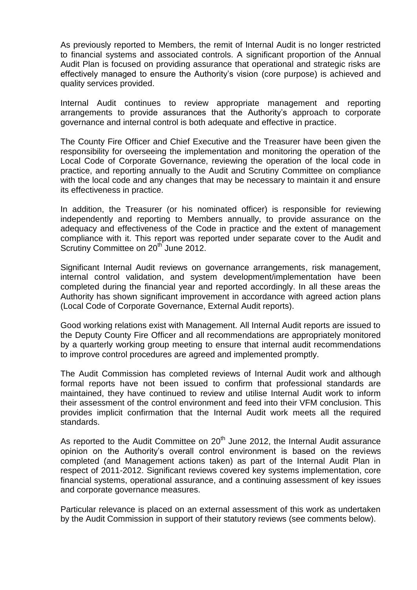As previously reported to Members, the remit of Internal Audit is no longer restricted to financial systems and associated controls. A significant proportion of the Annual Audit Plan is focused on providing assurance that operational and strategic risks are effectively managed to ensure the Authority"s vision (core purpose) is achieved and quality services provided.

Internal Audit continues to review appropriate management and reporting arrangements to provide assurances that the Authority"s approach to corporate governance and internal control is both adequate and effective in practice.

The County Fire Officer and Chief Executive and the Treasurer have been given the responsibility for overseeing the implementation and monitoring the operation of the Local Code of Corporate Governance, reviewing the operation of the local code in practice, and reporting annually to the Audit and Scrutiny Committee on compliance with the local code and any changes that may be necessary to maintain it and ensure its effectiveness in practice.

In addition, the Treasurer (or his nominated officer) is responsible for reviewing independently and reporting to Members annually, to provide assurance on the adequacy and effectiveness of the Code in practice and the extent of management compliance with it. This report was reported under separate cover to the Audit and Scrutiny Committee on 20<sup>th</sup> June 2012.

Significant Internal Audit reviews on governance arrangements, risk management, internal control validation, and system development/implementation have been completed during the financial year and reported accordingly. In all these areas the Authority has shown significant improvement in accordance with agreed action plans (Local Code of Corporate Governance, External Audit reports).

Good working relations exist with Management. All Internal Audit reports are issued to the Deputy County Fire Officer and all recommendations are appropriately monitored by a quarterly working group meeting to ensure that internal audit recommendations to improve control procedures are agreed and implemented promptly.

The Audit Commission has completed reviews of Internal Audit work and although formal reports have not been issued to confirm that professional standards are maintained, they have continued to review and utilise Internal Audit work to inform their assessment of the control environment and feed into their VFM conclusion. This provides implicit confirmation that the Internal Audit work meets all the required standards.

As reported to the Audit Committee on  $20<sup>th</sup>$  June 2012, the Internal Audit assurance opinion on the Authority"s overall control environment is based on the reviews completed (and Management actions taken) as part of the Internal Audit Plan in respect of 2011-2012. Significant reviews covered key systems implementation, core financial systems, operational assurance, and a continuing assessment of key issues and corporate governance measures.

Particular relevance is placed on an external assessment of this work as undertaken by the Audit Commission in support of their statutory reviews (see comments below).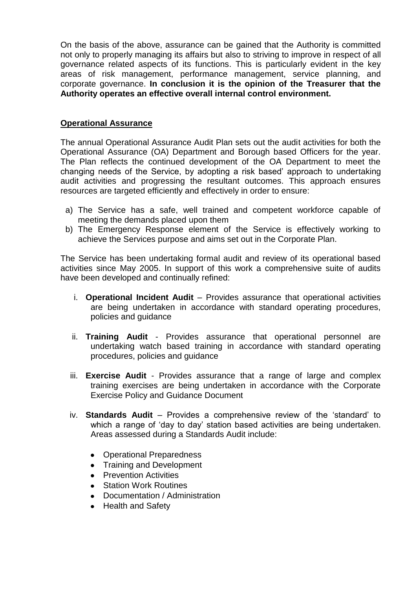On the basis of the above, assurance can be gained that the Authority is committed not only to properly managing its affairs but also to striving to improve in respect of all governance related aspects of its functions. This is particularly evident in the key areas of risk management, performance management, service planning, and corporate governance. **In conclusion it is the opinion of the Treasurer that the Authority operates an effective overall internal control environment.**

# **Operational Assurance**

The annual Operational Assurance Audit Plan sets out the audit activities for both the Operational Assurance (OA) Department and Borough based Officers for the year. The Plan reflects the continued development of the OA Department to meet the changing needs of the Service, by adopting a risk based" approach to undertaking audit activities and progressing the resultant outcomes. This approach ensures resources are targeted efficiently and effectively in order to ensure:

- a) The Service has a safe, well trained and competent workforce capable of meeting the demands placed upon them
- b) The Emergency Response element of the Service is effectively working to achieve the Services purpose and aims set out in the Corporate Plan.

The Service has been undertaking formal audit and review of its operational based activities since May 2005. In support of this work a comprehensive suite of audits have been developed and continually refined:

- i. **Operational Incident Audit** Provides assurance that operational activities are being undertaken in accordance with standard operating procedures, policies and guidance
- ii. **Training Audit** Provides assurance that operational personnel are undertaking watch based training in accordance with standard operating procedures, policies and guidance
- iii. **Exercise Audit** Provides assurance that a range of large and complex training exercises are being undertaken in accordance with the Corporate Exercise Policy and Guidance Document
- iv. **Standards Audit** Provides a comprehensive review of the "standard" to which a range of 'day to day' station based activities are being undertaken. Areas assessed during a Standards Audit include:
	- Operational Preparedness
	- Training and Development
	- Prevention Activities
	- Station Work Routines
	- Documentation / Administration
	- Health and Safety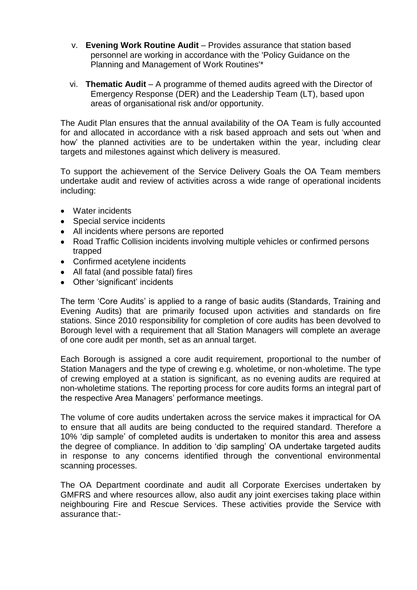- v. **Evening Work Routine Audit** Provides assurance that station based personnel are working in accordance with the 'Policy Guidance on the Planning and Management of Work Routines'\*
- vi. **Thematic Audit** A programme of themed audits agreed with the Director of Emergency Response (DER) and the Leadership Team (LT), based upon areas of organisational risk and/or opportunity.

The Audit Plan ensures that the annual availability of the OA Team is fully accounted for and allocated in accordance with a risk based approach and sets out "when and how" the planned activities are to be undertaken within the year, including clear targets and milestones against which delivery is measured.

To support the achievement of the Service Delivery Goals the OA Team members undertake audit and review of activities across a wide range of operational incidents including:

- Water incidents
- Special service incidents
- All incidents where persons are reported
- Road Traffic Collision incidents involving multiple vehicles or confirmed persons trapped
- Confirmed acetylene incidents
- All fatal (and possible fatal) fires
- Other 'significant' incidents

The term "Core Audits" is applied to a range of basic audits (Standards, Training and Evening Audits) that are primarily focused upon activities and standards on fire stations. Since 2010 responsibility for completion of core audits has been devolved to Borough level with a requirement that all Station Managers will complete an average of one core audit per month, set as an annual target.

Each Borough is assigned a core audit requirement, proportional to the number of Station Managers and the type of crewing e.g. wholetime, or non-wholetime. The type of crewing employed at a station is significant, as no evening audits are required at non-wholetime stations. The reporting process for core audits forms an integral part of the respective Area Managers" performance meetings.

The volume of core audits undertaken across the service makes it impractical for OA to ensure that all audits are being conducted to the required standard. Therefore a 10% "dip sample" of completed audits is undertaken to monitor this area and assess the degree of compliance. In addition to "dip sampling" OA undertake targeted audits in response to any concerns identified through the conventional environmental scanning processes.

The OA Department coordinate and audit all Corporate Exercises undertaken by GMFRS and where resources allow, also audit any joint exercises taking place within neighbouring Fire and Rescue Services. These activities provide the Service with assurance that:-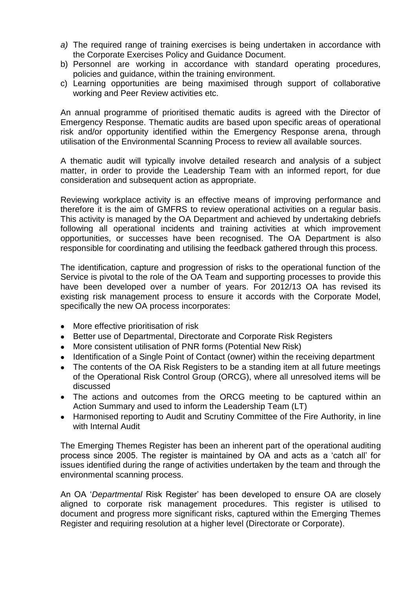- *a)* The required range of training exercises is being undertaken in accordance with the Corporate Exercises Policy and Guidance Document.
- b) Personnel are working in accordance with standard operating procedures, policies and guidance, within the training environment.
- c) Learning opportunities are being maximised through support of collaborative working and Peer Review activities etc.

An annual programme of prioritised thematic audits is agreed with the Director of Emergency Response. Thematic audits are based upon specific areas of operational risk and/or opportunity identified within the Emergency Response arena, through utilisation of the Environmental Scanning Process to review all available sources.

A thematic audit will typically involve detailed research and analysis of a subject matter, in order to provide the Leadership Team with an informed report, for due consideration and subsequent action as appropriate.

Reviewing workplace activity is an effective means of improving performance and therefore it is the aim of GMFRS to review operational activities on a regular basis. This activity is managed by the OA Department and achieved by undertaking debriefs following all operational incidents and training activities at which improvement opportunities, or successes have been recognised. The OA Department is also responsible for coordinating and utilising the feedback gathered through this process.

The identification, capture and progression of risks to the operational function of the Service is pivotal to the role of the OA Team and supporting processes to provide this have been developed over a number of years. For 2012/13 OA has revised its existing risk management process to ensure it accords with the Corporate Model, specifically the new OA process incorporates:

- More effective prioritisation of risk
- Better use of Departmental, Directorate and Corporate Risk Registers
- More consistent utilisation of PNR forms (Potential New Risk)
- Identification of a Single Point of Contact (owner) within the receiving department
- The contents of the OA Risk Registers to be a standing item at all future meetings of the Operational Risk Control Group (ORCG), where all unresolved items will be discussed
- The actions and outcomes from the ORCG meeting to be captured within an Action Summary and used to inform the Leadership Team (LT)
- Harmonised reporting to Audit and Scrutiny Committee of the Fire Authority, in line with Internal Audit

The Emerging Themes Register has been an inherent part of the operational auditing process since 2005. The register is maintained by OA and acts as a "catch all" for issues identified during the range of activities undertaken by the team and through the environmental scanning process.

An OA "*Departmental* Risk Register" has been developed to ensure OA are closely aligned to corporate risk management procedures. This register is utilised to document and progress more significant risks, captured within the Emerging Themes Register and requiring resolution at a higher level (Directorate or Corporate).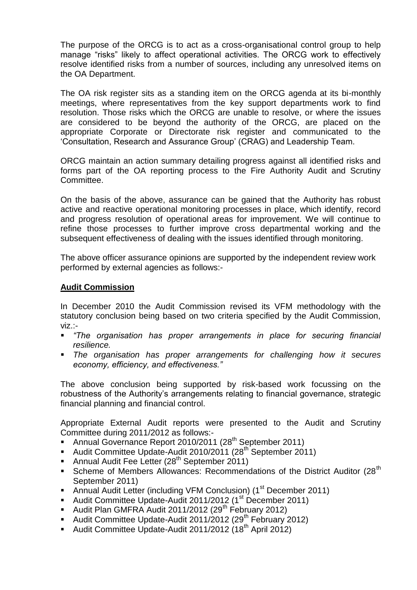The purpose of the ORCG is to act as a cross-organisational control group to help manage "risks" likely to affect operational activities. The ORCG work to effectively resolve identified risks from a number of sources, including any unresolved items on the OA Department.

The OA risk register sits as a standing item on the ORCG agenda at its bi-monthly meetings, where representatives from the key support departments work to find resolution. Those risks which the ORCG are unable to resolve, or where the issues are considered to be beyond the authority of the ORCG, are placed on the appropriate Corporate or Directorate risk register and communicated to the "Consultation, Research and Assurance Group" (CRAG) and Leadership Team.

ORCG maintain an action summary detailing progress against all identified risks and forms part of the OA reporting process to the Fire Authority Audit and Scrutiny Committee.

On the basis of the above, assurance can be gained that the Authority has robust active and reactive operational monitoring processes in place, which identify, record and progress resolution of operational areas for improvement. We will continue to refine those processes to further improve cross departmental working and the subsequent effectiveness of dealing with the issues identified through monitoring.

The above officer assurance opinions are supported by the independent review work performed by external agencies as follows:-

### **Audit Commission**

In December 2010 the Audit Commission revised its VFM methodology with the statutory conclusion being based on two criteria specified by the Audit Commission, viz.:-

- *"The organisation has proper arrangements in place for securing financial resilience.*
- *The organisation has proper arrangements for challenging how it secures economy, efficiency, and effectiveness."*

The above conclusion being supported by risk-based work focussing on the robustness of the Authority's arrangements relating to financial governance, strategic financial planning and financial control.

Appropriate External Audit reports were presented to the Audit and Scrutiny Committee during 2011/2012 as follows:-

- Annual Governance Report 2010/2011 (28<sup>th</sup> September 2011)
- Audit Committee Update-Audit 2010/2011 (28<sup>th</sup> September 2011)
- Annual Audit Fee Letter  $(28<sup>th</sup>$  September 2011)
- Scheme of Members Allowances: Recommendations of the District Auditor (28<sup>th</sup>) September 2011)
- **Annual Audit Letter (including VFM Conclusion) (1st December 2011)**
- Audit Committee Update-Audit 2011/2012 (1<sup>st</sup> December 2011)
- Audit Plan GMFRA Audit 2011/2012  $(29^{th}$  February 2012)
- Audit Committee Update-Audit 2011/2012 (29<sup>th</sup> February 2012)
- Audit Committee Update-Audit 2011/2012 (18<sup>th</sup> April 2012)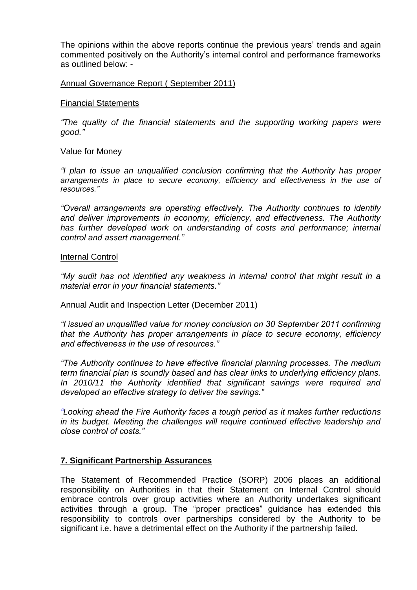The opinions within the above reports continue the previous years' trends and again commented positively on the Authority"s internal control and performance frameworks as outlined below: -

#### Annual Governance Report ( September 2011)

#### Financial Statements

*"The quality of the financial statements and the supporting working papers were good."*

#### Value for Money

*"I plan to issue an unqualified conclusion confirming that the Authority has proper arrangements in place to secure economy, efficiency and effectiveness in the use of resources."*

*"Overall arrangements are operating effectively. The Authority continues to identify and deliver improvements in economy, efficiency, and effectiveness. The Authority*  has further developed work on understanding of costs and performance; internal *control and assert management."*

#### Internal Control

*"My audit has not identified any weakness in internal control that might result in a material error in your financial statements."*

#### Annual Audit and Inspection Letter (December 2011)

*"I issued an unqualified value for money conclusion on 30 September 2011 confirming that the Authority has proper arrangements in place to secure economy, efficiency and effectiveness in the use of resources."*

*"The Authority continues to have effective financial planning processes. The medium term financial plan is soundly based and has clear links to underlying efficiency plans. In 2010/11 the Authority identified that significant savings were required and developed an effective strategy to deliver the savings."*

*"Looking ahead the Fire Authority faces a tough period as it makes further reductions in its budget. Meeting the challenges will require continued effective leadership and close control of costs."*

#### **7. Significant Partnership Assurances**

The Statement of Recommended Practice (SORP) 2006 places an additional responsibility on Authorities in that their Statement on Internal Control should embrace controls over group activities where an Authority undertakes significant activities through a group. The "proper practices" guidance has extended this responsibility to controls over partnerships considered by the Authority to be significant i.e. have a detrimental effect on the Authority if the partnership failed.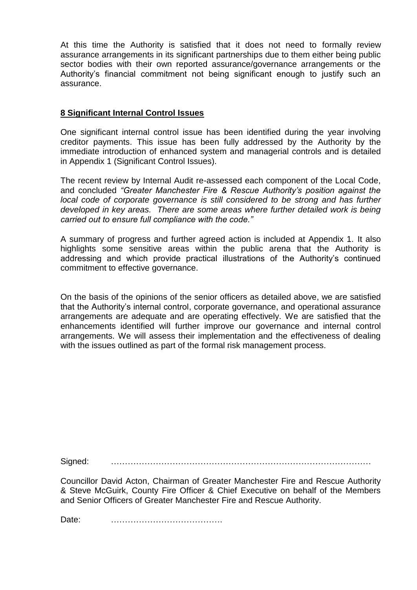At this time the Authority is satisfied that it does not need to formally review assurance arrangements in its significant partnerships due to them either being public sector bodies with their own reported assurance/governance arrangements or the Authority"s financial commitment not being significant enough to justify such an assurance.

## **8 Significant Internal Control Issues**

One significant internal control issue has been identified during the year involving creditor payments. This issue has been fully addressed by the Authority by the immediate introduction of enhanced system and managerial controls and is detailed in Appendix 1 (Significant Control Issues).

The recent review by Internal Audit re-assessed each component of the Local Code, and concluded *"Greater Manchester Fire & Rescue Authority's position against the local code of corporate governance is still considered to be strong and has further*  developed in key areas. There are some areas where further detailed work is being *carried out to ensure full compliance with the code."* 

A summary of progress and further agreed action is included at Appendix 1. It also highlights some sensitive areas within the public arena that the Authority is addressing and which provide practical illustrations of the Authority"s continued commitment to effective governance.

On the basis of the opinions of the senior officers as detailed above, we are satisfied that the Authority"s internal control, corporate governance, and operational assurance arrangements are adequate and are operating effectively. We are satisfied that the enhancements identified will further improve our governance and internal control arrangements. We will assess their implementation and the effectiveness of dealing with the issues outlined as part of the formal risk management process.

Signed: …………………………………………………………………………………

Councillor David Acton, Chairman of Greater Manchester Fire and Rescue Authority & Steve McGuirk, County Fire Officer & Chief Executive on behalf of the Members and Senior Officers of Greater Manchester Fire and Rescue Authority.

Date: ………………………………….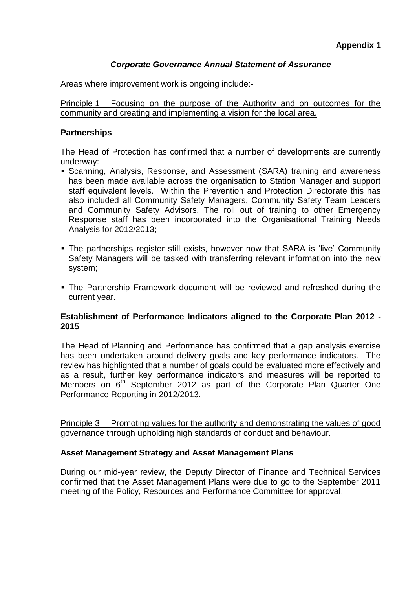# *Corporate Governance Annual Statement of Assurance*

Areas where improvement work is ongoing include:-

Principle 1 Focusing on the purpose of the Authority and on outcomes for the community and creating and implementing a vision for the local area.

#### **Partnerships**

The Head of Protection has confirmed that a number of developments are currently underway:

- Scanning, Analysis, Response, and Assessment (SARA) training and awareness has been made available across the organisation to Station Manager and support staff equivalent levels. Within the Prevention and Protection Directorate this has also included all Community Safety Managers, Community Safety Team Leaders and Community Safety Advisors. The roll out of training to other Emergency Response staff has been incorporated into the Organisational Training Needs Analysis for 2012/2013;
- The partnerships register still exists, however now that SARA is "live" Community Safety Managers will be tasked with transferring relevant information into the new system;
- The Partnership Framework document will be reviewed and refreshed during the current year.

### **Establishment of Performance Indicators aligned to the Corporate Plan 2012 - 2015**

The Head of Planning and Performance has confirmed that a gap analysis exercise has been undertaken around delivery goals and key performance indicators. The review has highlighted that a number of goals could be evaluated more effectively and as a result, further key performance indicators and measures will be reported to Members on  $6<sup>th</sup>$  September 2012 as part of the Corporate Plan Quarter One Performance Reporting in 2012/2013.

Principle 3 Promoting values for the authority and demonstrating the values of good governance through upholding high standards of conduct and behaviour.

#### **Asset Management Strategy and Asset Management Plans**

During our mid-year review, the Deputy Director of Finance and Technical Services confirmed that the Asset Management Plans were due to go to the September 2011 meeting of the Policy, Resources and Performance Committee for approval.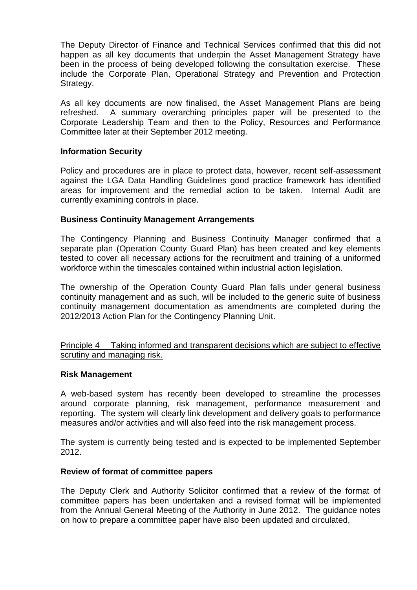The Deputy Director of Finance and Technical Services confirmed that this did not happen as all key documents that underpin the Asset Management Strategy have been in the process of being developed following the consultation exercise. These include the Corporate Plan, Operational Strategy and Prevention and Protection Strategy.

As all key documents are now finalised, the Asset Management Plans are being refreshed. A summary overarching principles paper will be presented to the Corporate Leadership Team and then to the Policy, Resources and Performance Committee later at their September 2012 meeting.

#### **Information Security**

Policy and procedures are in place to protect data, however, recent self-assessment against the LGA Data Handling Guidelines good practice framework has identified areas for improvement and the remedial action to be taken. Internal Audit are currently examining controls in place.

#### **Business Continuity Management Arrangements**

The Contingency Planning and Business Continuity Manager confirmed that a separate plan (Operation County Guard Plan) has been created and key elements tested to cover all necessary actions for the recruitment and training of a uniformed workforce within the timescales contained within industrial action legislation.

The ownership of the Operation County Guard Plan falls under general business continuity management and as such, will be included to the generic suite of business continuity management documentation as amendments are completed during the 2012/2013 Action Plan for the Contingency Planning Unit.

Principle 4 Taking informed and transparent decisions which are subject to effective scrutiny and managing risk.

#### **Risk Management**

A web-based system has recently been developed to streamline the processes around corporate planning, risk management, performance measurement and reporting. The system will clearly link development and delivery goals to performance measures and/or activities and will also feed into the risk management process.

The system is currently being tested and is expected to be implemented September 2012.

#### **Review of format of committee papers**

The Deputy Clerk and Authority Solicitor confirmed that a review of the format of committee papers has been undertaken and a revised format will be implemented from the Annual General Meeting of the Authority in June 2012. The guidance notes on how to prepare a committee paper have also been updated and circulated,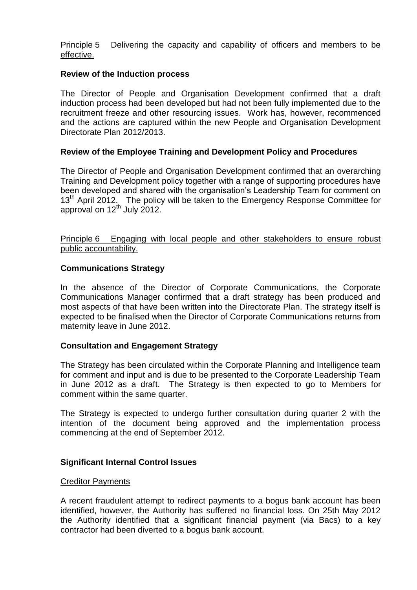### Principle 5 Delivering the capacity and capability of officers and members to be effective.

### **Review of the Induction process**

The Director of People and Organisation Development confirmed that a draft induction process had been developed but had not been fully implemented due to the recruitment freeze and other resourcing issues. Work has, however, recommenced and the actions are captured within the new People and Organisation Development Directorate Plan 2012/2013.

### **Review of the Employee Training and Development Policy and Procedures**

The Director of People and Organisation Development confirmed that an overarching Training and Development policy together with a range of supporting procedures have been developed and shared with the organisation's Leadership Team for comment on 13<sup>th</sup> April 2012. The policy will be taken to the Emergency Response Committee for approval on 12<sup>th</sup> July 2012.

Principle 6 Engaging with local people and other stakeholders to ensure robust public accountability.

### **Communications Strategy**

In the absence of the Director of Corporate Communications, the Corporate Communications Manager confirmed that a draft strategy has been produced and most aspects of that have been written into the Directorate Plan. The strategy itself is expected to be finalised when the Director of Corporate Communications returns from maternity leave in June 2012.

#### **Consultation and Engagement Strategy**

The Strategy has been circulated within the Corporate Planning and Intelligence team for comment and input and is due to be presented to the Corporate Leadership Team in June 2012 as a draft. The Strategy is then expected to go to Members for comment within the same quarter.

The Strategy is expected to undergo further consultation during quarter 2 with the intention of the document being approved and the implementation process commencing at the end of September 2012.

#### **Significant Internal Control Issues**

#### Creditor Payments

A recent fraudulent attempt to redirect payments to a bogus bank account has been identified, however, the Authority has suffered no financial loss. On 25th May 2012 the Authority identified that a significant financial payment (via Bacs) to a key contractor had been diverted to a bogus bank account.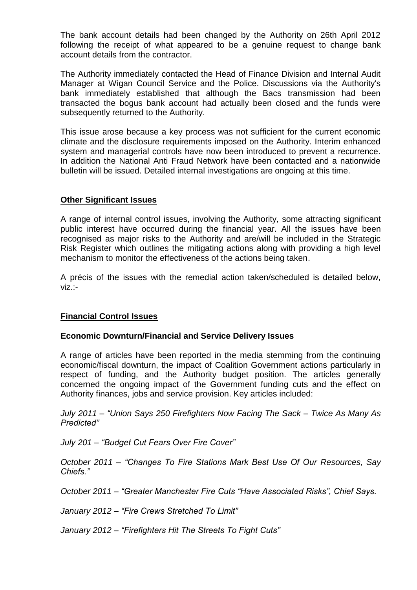The bank account details had been changed by the Authority on 26th April 2012 following the receipt of what appeared to be a genuine request to change bank account details from the contractor.

The Authority immediately contacted the Head of Finance Division and Internal Audit Manager at Wigan Council Service and the Police. Discussions via the Authority's bank immediately established that although the Bacs transmission had been transacted the bogus bank account had actually been closed and the funds were subsequently returned to the Authority.

This issue arose because a key process was not sufficient for the current economic climate and the disclosure requirements imposed on the Authority. Interim enhanced system and managerial controls have now been introduced to prevent a recurrence. In addition the National Anti Fraud Network have been contacted and a nationwide bulletin will be issued. Detailed internal investigations are ongoing at this time.

#### **Other Significant Issues**

A range of internal control issues, involving the Authority, some attracting significant public interest have occurred during the financial year. All the issues have been recognised as major risks to the Authority and are/will be included in the Strategic Risk Register which outlines the mitigating actions along with providing a high level mechanism to monitor the effectiveness of the actions being taken.

A précis of the issues with the remedial action taken/scheduled is detailed below, viz.:-

### **Financial Control Issues**

#### **Economic Downturn/Financial and Service Delivery Issues**

A range of articles have been reported in the media stemming from the continuing economic/fiscal downturn, the impact of Coalition Government actions particularly in respect of funding, and the Authority budget position. The articles generally concerned the ongoing impact of the Government funding cuts and the effect on Authority finances, jobs and service provision. Key articles included:

*July 2011 – "Union Says 250 Firefighters Now Facing The Sack – Twice As Many As Predicted"*

*July 201 – "Budget Cut Fears Over Fire Cover"*

*October 2011 – "Changes To Fire Stations Mark Best Use Of Our Resources, Say Chiefs."*

*October 2011 – "Greater Manchester Fire Cuts "Have Associated Risks", Chief Says.*

*January 2012 – "Fire Crews Stretched To Limit"*

*January 2012 – "Firefighters Hit The Streets To Fight Cuts"*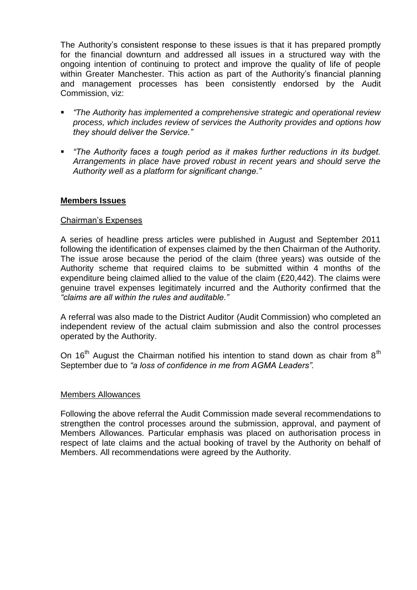The Authority"s consistent response to these issues is that it has prepared promptly for the financial downturn and addressed all issues in a structured way with the ongoing intention of continuing to protect and improve the quality of life of people within Greater Manchester. This action as part of the Authority's financial planning and management processes has been consistently endorsed by the Audit Commission, viz:

- *"The Authority has implemented a comprehensive strategic and operational review process, which includes review of services the Authority provides and options how they should deliver the Service."*
- *"The Authority faces a tough period as it makes further reductions in its budget. Arrangements in place have proved robust in recent years and should serve the Authority well as a platform for significant change."*

#### **Members Issues**

#### Chairman"s Expenses

A series of headline press articles were published in August and September 2011 following the identification of expenses claimed by the then Chairman of the Authority. The issue arose because the period of the claim (three years) was outside of the Authority scheme that required claims to be submitted within 4 months of the expenditure being claimed allied to the value of the claim (£20,442). The claims were genuine travel expenses legitimately incurred and the Authority confirmed that the *"claims are all within the rules and auditable."*

A referral was also made to the District Auditor (Audit Commission) who completed an independent review of the actual claim submission and also the control processes operated by the Authority.

On 16<sup>th</sup> August the Chairman notified his intention to stand down as chair from  $8<sup>th</sup>$ September due to *"a loss of confidence in me from AGMA Leaders".*

#### Members Allowances

Following the above referral the Audit Commission made several recommendations to strengthen the control processes around the submission, approval, and payment of Members Allowances. Particular emphasis was placed on authorisation process in respect of late claims and the actual booking of travel by the Authority on behalf of Members. All recommendations were agreed by the Authority.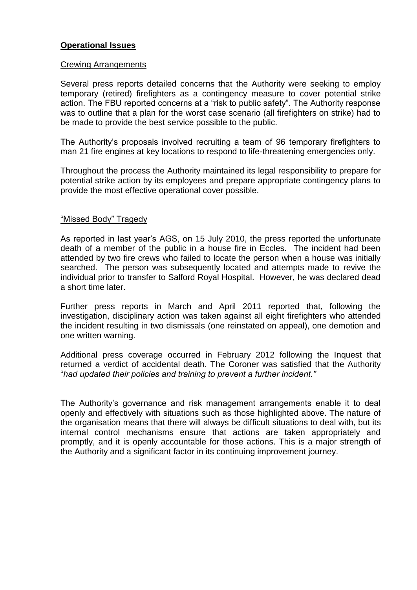# **Operational Issues**

#### Crewing Arrangements

Several press reports detailed concerns that the Authority were seeking to employ temporary (retired) firefighters as a contingency measure to cover potential strike action. The FBU reported concerns at a "risk to public safety". The Authority response was to outline that a plan for the worst case scenario (all firefighters on strike) had to be made to provide the best service possible to the public.

The Authority"s proposals involved recruiting a team of 96 temporary firefighters to man 21 fire engines at key locations to respond to life-threatening emergencies only.

Throughout the process the Authority maintained its legal responsibility to prepare for potential strike action by its employees and prepare appropriate contingency plans to provide the most effective operational cover possible.

#### "Missed Body" Tragedy

As reported in last year"s AGS, on 15 July 2010, the press reported the unfortunate death of a member of the public in a house fire in Eccles. The incident had been attended by two fire crews who failed to locate the person when a house was initially searched. The person was subsequently located and attempts made to revive the individual prior to transfer to Salford Royal Hospital. However, he was declared dead a short time later.

Further press reports in March and April 2011 reported that, following the investigation, disciplinary action was taken against all eight firefighters who attended the incident resulting in two dismissals (one reinstated on appeal), one demotion and one written warning.

Additional press coverage occurred in February 2012 following the Inquest that returned a verdict of accidental death. The Coroner was satisfied that the Authority "*had updated their policies and training to prevent a further incident."*

The Authority's governance and risk management arrangements enable it to deal openly and effectively with situations such as those highlighted above. The nature of the organisation means that there will always be difficult situations to deal with, but its internal control mechanisms ensure that actions are taken appropriately and promptly, and it is openly accountable for those actions. This is a major strength of the Authority and a significant factor in its continuing improvement journey.